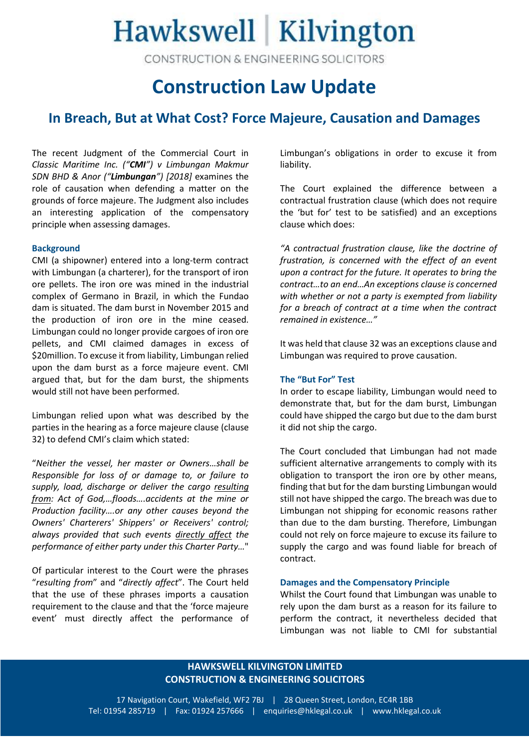# Hawkswell Kilvington

CONSTRUCTION & ENGINEERING SOLICITORS

## **Construction Law Update**

### **In Breach, But at What Cost? Force Majeure, Causation and Damages**

The recent Judgment of the Commercial Court in *Classic Maritime Inc. ("CMI") v Limbungan Makmur SDN BHD & Anor ("Limbungan") [2018]* examines the role of causation when defending a matter on the grounds of force majeure. The Judgment also includes an interesting application of the compensatory principle when assessing damages.

#### **Background**

CMI (a shipowner) entered into a long-term contract with Limbungan (a charterer), for the transport of iron ore pellets. The iron ore was mined in the industrial complex of Germano in Brazil, in which the Fundao dam is situated. The dam burst in November 2015 and the production of iron ore in the mine ceased. Limbungan could no longer provide cargoes of iron ore pellets, and CMI claimed damages in excess of \$20million. To excuse it from liability, Limbungan relied upon the dam burst as a force majeure event. CMI argued that, but for the dam burst, the shipments would still not have been performed.

Limbungan relied upon what was described by the parties in the hearing as a force majeure clause (clause 32) to defend CMI's claim which stated:

"*Neither the vessel, her master or Owners…shall be Responsible for loss of or damage to, or failure to supply, load, discharge or deliver the cargo resulting from: Act of God,…floods….accidents at the mine or Production facility….or any other causes beyond the Owners' Charterers' Shippers' or Receivers' control; always provided that such events directly affect the performance of either party under this Charter Party…*"

Of particular interest to the Court were the phrases "*resulting from*" and "*directly affect*". The Court held that the use of these phrases imports a causation requirement to the clause and that the 'force majeure event' must directly affect the performance of Limbungan's obligations in order to excuse it from liability.

The Court explained the difference between a contractual frustration clause (which does not require the 'but for' test to be satisfied) and an exceptions clause which does:

*"A contractual frustration clause, like the doctrine of frustration, is concerned with the effect of an event upon a contract for the future. It operates to bring the contract…to an end…An exceptions clause is concerned with whether or not a party is exempted from liability for a breach of contract at a time when the contract remained in existence…"*

It was held that clause 32 was an exceptions clause and Limbungan was required to prove causation.

#### **The "But For" Test**

In order to escape liability, Limbungan would need to demonstrate that, but for the dam burst, Limbungan could have shipped the cargo but due to the dam burst it did not ship the cargo.

The Court concluded that Limbungan had not made sufficient alternative arrangements to comply with its obligation to transport the iron ore by other means, finding that but for the dam bursting Limbungan would still not have shipped the cargo. The breach was due to Limbungan not shipping for economic reasons rather than due to the dam bursting. Therefore, Limbungan could not rely on force majeure to excuse its failure to supply the cargo and was found liable for breach of contract.

#### **Damages and the Compensatory Principle**

Whilst the Court found that Limbungan was unable to rely upon the dam burst as a reason for its failure to perform the contract, it nevertheless decided that Limbungan was not liable to CMI for substantial

#### **HAWKSWELL KILVINGTON LIMITED CONSTRUCTION & ENGINEERING SOLICITORS**